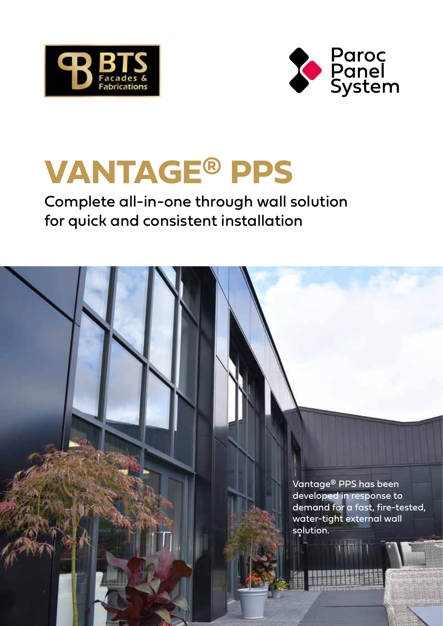



# **VANTAGE® PPS**

# Complete all-in-one through wall solution for quick and consistent installation

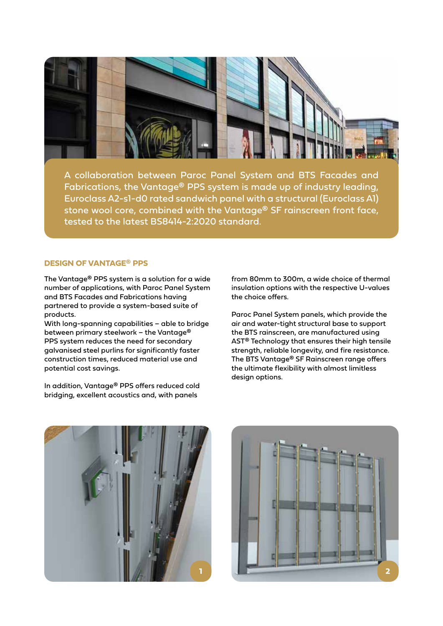

A collaboration between Paroc Panel System and BTS Facades and Fabrications, the Vantage® PPS system is made up of industry leading, Euroclass A2-s1-d0 rated sandwich panel with a structural (Euroclass A1) stone wool core, combined with the Vantage® SF rainscreen front face, tested to the latest BS8414-2:2020 standard.

## **DESIGN OF VANTAGE® PPS**

The Vantage® PPS system is a solution for a wide number of applications, with Paroc Panel System and BTS Facades and Fabrications having partnered to provide a system-based suite of products.

With long-spanning capabilities – able to bridge between primary steelwork – the Vantage® PPS system reduces the need for secondary galvanised steel purlins for significantly faster construction times, reduced material use and potential cost savings.

In addition, Vantage® PPS offers reduced cold bridging, excellent acoustics and, with panels

from 80mm to 300m, a wide choice of thermal insulation options with the respective U-values the choice offers.

Paroc Panel System panels, which provide the air and water-tight structural base to support the BTS rainscreen, are manufactured using AST® Technology that ensures their high tensile strength, reliable longevity, and fire resistance. The BTS Vantage® SF Rainscreen range offers the ultimate flexibility with almost limitless design options.



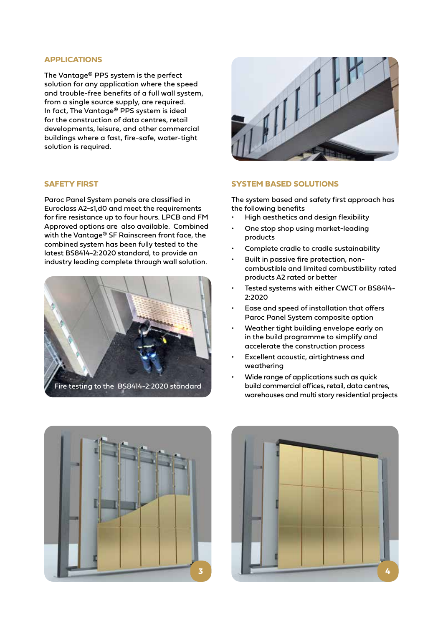#### **APPLICATIONS**

The Vantage® PPS system is the perfect solution for any application where the speed and trouble-free benefits of a full wall system, from a single source supply, are required. In fact, The Vantage® PPS system is ideal for the construction of data centres, retail developments, leisure, and other commercial buildings where a fast, fire-safe, water-tight solution is required.

## **SAFETY FIRST**

Paroc Panel System panels are classified in Euroclass A2-s1,d0 and meet the requirements for fire resistance up to four hours. LPCB and FM Approved options are also available. Combined with the Vantage® SF Rainscreen front face, the combined system has been fully tested to the latest BS8414-2:2020 standard, to provide an industry leading complete through wall solution.





#### **SYSTEM BASED SOLUTIONS**

The system based and safety first approach has the following benefits

- High aesthetics and design flexibility
- One stop shop using market-leading products
- Complete cradle to cradle sustainability
- Built in passive fire protection, noncombustible and limited combustibility rated products A2 rated or better
- Tested systems with either CWCT or BS8414- 2:2020
- Ease and speed of installation that offers Paroc Panel System composite option
- Weather tight building envelope early on in the build programme to simplify and accelerate the construction process
- Excellent acoustic, airtightness and weathering
- Wide range of applications such as quick build commercial offices, retail, data centres, warehouses and multi story residential projects